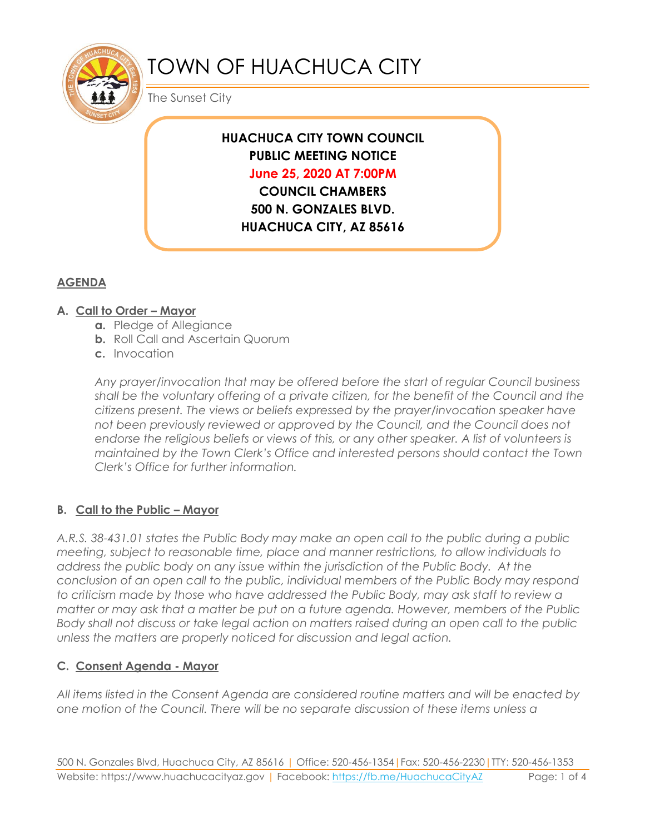

# TOWN OF HUACHUCA CITY

The Sunset City

## **HUACHUCA CITY TOWN COUNCIL PUBLIC MEETING NOTICE June 25, 2020 AT 7:00PM**

**COUNCIL CHAMBERS 500 N. GONZALES BLVD. HUACHUCA CITY, AZ 85616**

### **AGENDA**

#### **A. Call to Order – Mayor**

- **a.** Pledge of Allegiance
- **b.** Roll Call and Ascertain Quorum
- **c.** Invocation

*Any prayer/invocation that may be offered before the start of regular Council business shall be the voluntary offering of a private citizen, for the benefit of the Council and the citizens present. The views or beliefs expressed by the prayer/invocation speaker have not been previously reviewed or approved by the Council, and the Council does not endorse the religious beliefs or views of this, or any other speaker. A list of volunteers is maintained by the Town Clerk's Office and interested persons should contact the Town Clerk's Office for further information.*

#### **B. Call to the Public – Mayor**

*A.R.S. 38-431.01 states the Public Body may make an open call to the public during a public meeting, subject to reasonable time, place and manner restrictions, to allow individuals to address the public body on any issue within the jurisdiction of the Public Body. At the conclusion of an open call to the public, individual members of the Public Body may respond to criticism made by those who have addressed the Public Body, may ask staff to review a matter or may ask that a matter be put on a future agenda. However, members of the Public Body shall not discuss or take legal action on matters raised during an open call to the public unless the matters are properly noticed for discussion and legal action.*

#### **C. Consent Agenda - Mayor**

*All items listed in the Consent Agenda are considered routine matters and will be enacted by one motion of the Council. There will be no separate discussion of these items unless a*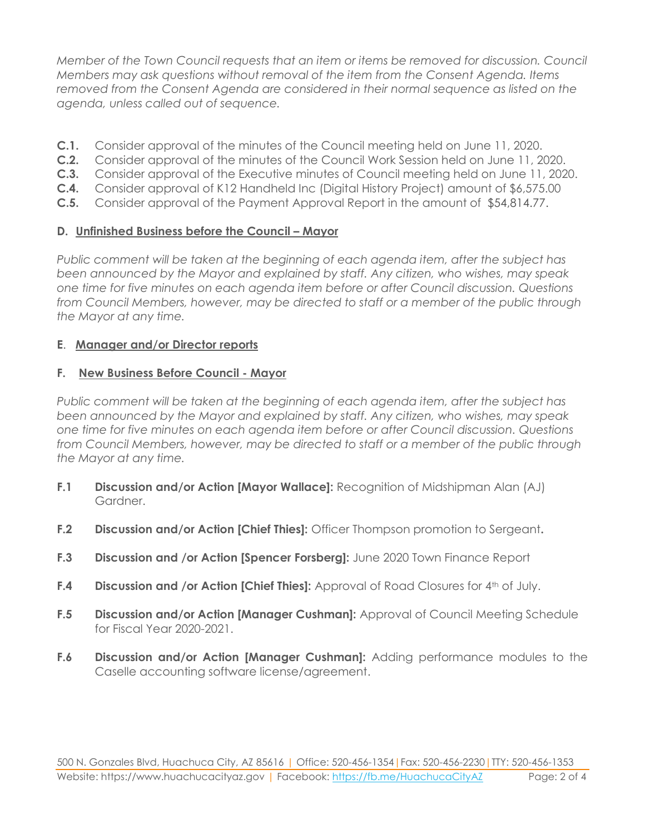*Member of the Town Council requests that an item or items be removed for discussion. Council Members may ask questions without removal of the item from the Consent Agenda. Items removed from the Consent Agenda are considered in their normal sequence as listed on the agenda, unless called out of sequence.*

- **C.1.** Consider approval of the minutes of the Council meeting held on June 11, 2020.
- **C.2.** Consider approval of the minutes of the Council Work Session held on June 11, 2020.
- **C.3.** Consider approval of the Executive minutes of Council meeting held on June 11, 2020.
- **C.4.** Consider approval of K12 Handheld Inc (Digital History Project) amount of \$6,575.00
- **C.5.** Consider approval of the Payment Approval Report in the amount of \$54,814.77.

#### **D.** Unfinished Business before the Council - Mayor

*Public comment will be taken at the beginning of each agenda item, after the subject has been announced by the Mayor and explained by staff. Any citizen, who wishes, may speak one time for five minutes on each agenda item before or after Council discussion. Questions from Council Members, however, may be directed to staff or a member of the public through the Mayor at any time.*

#### **E**. **Manager and/or Director reports**

#### **F. New Business Before Council - Mayor**

*Public comment will be taken at the beginning of each agenda item, after the subject has been announced by the Mayor and explained by staff. Any citizen, who wishes, may speak one time for five minutes on each agenda item before or after Council discussion. Questions from Council Members, however, may be directed to staff or a member of the public through the Mayor at any time.* 

- **F.1 Discussion and/or Action [Mayor Wallace]:** Recognition of Midshipman Alan (AJ) Gardner.
- **F.2 Discussion and/or Action [Chief Thies]:** Officer Thompson promotion to Sergeant**.**
- **F.3 Discussion and /or Action [Spencer Forsberg]:** June 2020 Town Finance Report
- **F.4 Discussion and /or Action [Chief Thies]:** Approval of Road Closures for 4<sup>th</sup> of July.
- **F.5 Discussion and/or Action [Manager Cushman]:** Approval of Council Meeting Schedule for Fiscal Year 2020-2021.
- **F.6 Discussion and/or Action [Manager Cushman]:** Adding performance modules to the Caselle accounting software license/agreement.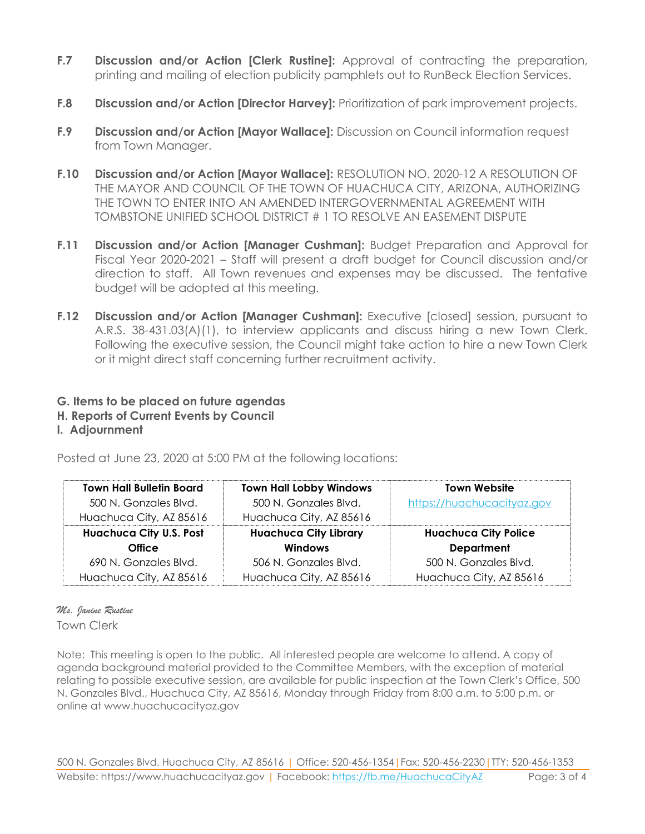- **F.7 Discussion and/or Action [Clerk Rustine]:** Approval of contracting the preparation, printing and mailing of election publicity pamphlets out to RunBeck Election Services.
- **F.8 Discussion and/or Action [Director Harvey]:** Prioritization of park improvement projects.
- **F.9 Discussion and/or Action [Mayor Wallace]:** Discussion on Council information request from Town Manager.
- **F.10 Discussion and/or Action [Mayor Wallace]:** RESOLUTION NO. 2020-12 A RESOLUTION OF THE MAYOR AND COUNCIL OF THE TOWN OF HUACHUCA CITY, ARIZONA, AUTHORIZING THE TOWN TO ENTER INTO AN AMENDED INTERGOVERNMENTAL AGREEMENT WITH TOMBSTONE UNIFIED SCHOOL DISTRICT # 1 TO RESOLVE AN EASEMENT DISPUTE
- **F.11 Discussion and/or Action [Manager Cushman]:** Budget Preparation and Approval for Fiscal Year 2020-2021 – Staff will present a draft budget for Council discussion and/or direction to staff. All Town revenues and expenses may be discussed. The tentative budget will be adopted at this meeting.
- **F.12 Discussion and/or Action [Manager Cushman]:** Executive [closed] session, pursuant to A.R.S. 38-431.03(A)(1), to interview applicants and discuss hiring a new Town Clerk. Following the executive session, the Council might take action to hire a new Town Clerk or it might direct staff concerning further recruitment activity.

#### **G. Items to be placed on future agendas**

#### **H. Reports of Current Events by Council**

#### **I. Adjournment**

Posted at June 23, 2020 at 5:00 PM at the following locations:

| <b>Town Hall Bulletin Board</b> | <b>Town Hall Lobby Windows</b> | <b>Town Website</b>         |
|---------------------------------|--------------------------------|-----------------------------|
| 500 N. Gonzales Blvd.           | 500 N. Gonzales Blvd.          | https://huachucacityaz.gov  |
| Huachuca City, AZ 85616         | Huachuca City, AZ 85616        |                             |
| <b>Huachuca City U.S. Post</b>  | <b>Huachuca City Library</b>   | <b>Huachuca City Police</b> |
| <b>Office</b>                   | <b>Windows</b>                 | <b>Department</b>           |
| 690 N. Gonzales Blvd.           | 506 N. Gonzales Blvd.          | 500 N. Gonzales Blvd.       |
| Huachuca City, AZ 85616         | Huachuca City, AZ 85616        | Huachuca City, AZ 85616     |

# *Ms. Janine Rustine*

Town Clerk

Note: This meeting is open to the public. All interested people are welcome to attend. A copy of agenda background material provided to the Committee Members, with the exception of material relating to possible executive session, are available for public inspection at the Town Clerk's Office, 500 N. Gonzales Blvd., Huachuca City, AZ 85616, Monday through Friday from 8:00 a.m. to 5:00 p.m. or online at www.huachucacityaz.gov